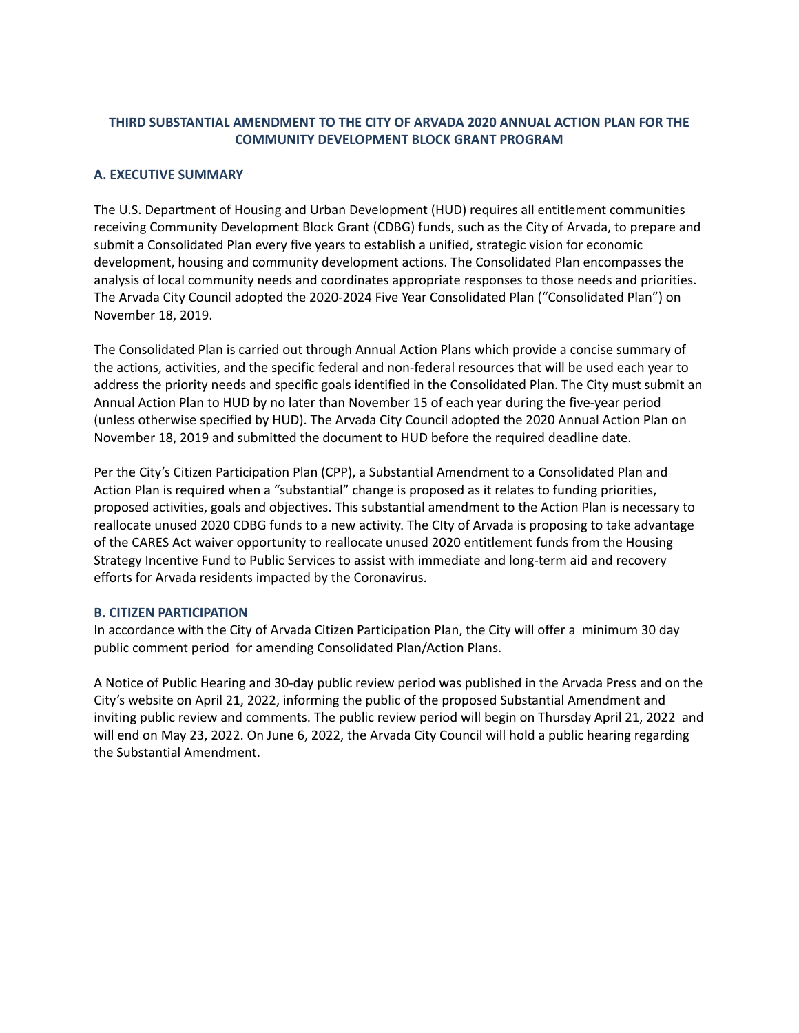# **THIRD SUBSTANTIAL AMENDMENT TO THE CITY OF ARVADA 2020 ANNUAL ACTION PLAN FOR THE COMMUNITY DEVELOPMENT BLOCK GRANT PROGRAM**

## **A. EXECUTIVE SUMMARY**

The U.S. Department of Housing and Urban Development (HUD) requires all entitlement communities receiving Community Development Block Grant (CDBG) funds, such as the City of Arvada, to prepare and submit a Consolidated Plan every five years to establish a unified, strategic vision for economic development, housing and community development actions. The Consolidated Plan encompasses the analysis of local community needs and coordinates appropriate responses to those needs and priorities. The Arvada City Council adopted the 2020-2024 Five Year Consolidated Plan ("Consolidated Plan") on November 18, 2019.

The Consolidated Plan is carried out through Annual Action Plans which provide a concise summary of the actions, activities, and the specific federal and non-federal resources that will be used each year to address the priority needs and specific goals identified in the Consolidated Plan. The City must submit an Annual Action Plan to HUD by no later than November 15 of each year during the five-year period (unless otherwise specified by HUD). The Arvada City Council adopted the 2020 Annual Action Plan on November 18, 2019 and submitted the document to HUD before the required deadline date.

Per the City's Citizen Participation Plan (CPP), a Substantial Amendment to a Consolidated Plan and Action Plan is required when a "substantial" change is proposed as it relates to funding priorities, proposed activities, goals and objectives. This substantial amendment to the Action Plan is necessary to reallocate unused 2020 CDBG funds to a new activity. The CIty of Arvada is proposing to take advantage of the CARES Act waiver opportunity to reallocate unused 2020 entitlement funds from the Housing Strategy Incentive Fund to Public Services to assist with immediate and long-term aid and recovery efforts for Arvada residents impacted by the Coronavirus.

## **B. CITIZEN PARTICIPATION**

In accordance with the City of Arvada Citizen Participation Plan, the City will offer a minimum 30 day public comment period for amending Consolidated Plan/Action Plans.

A Notice of Public Hearing and 30-day public review period was published in the Arvada Press and on the City's website on April 21, 2022, informing the public of the proposed Substantial Amendment and inviting public review and comments. The public review period will begin on Thursday April 21, 2022 and will end on May 23, 2022. On June 6, 2022, the Arvada City Council will hold a public hearing regarding the Substantial Amendment.